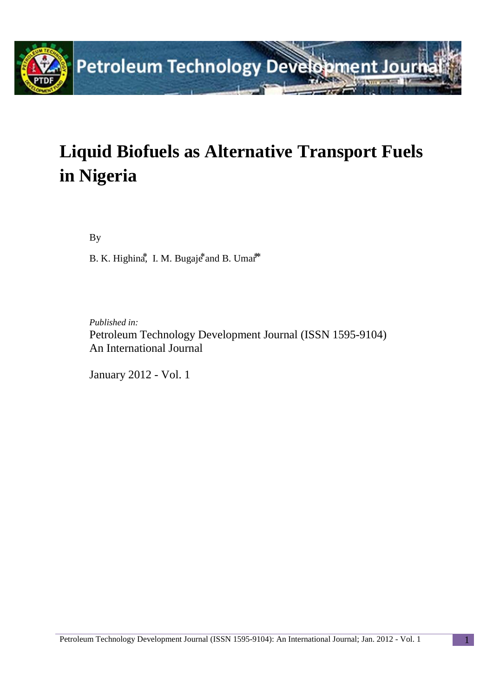

# **Liquid Biofuels as Alternative Transport Fuels in Nigeria**

By

B. K. Highina<sup> $*$ </sup>, I. M. Bugaje $*$  and B. Umar<sup>\*</sup>

*Published in:* Petroleum Technology Development Journal (ISSN 1595-9104) An International Journal

January 2012 - Vol. 1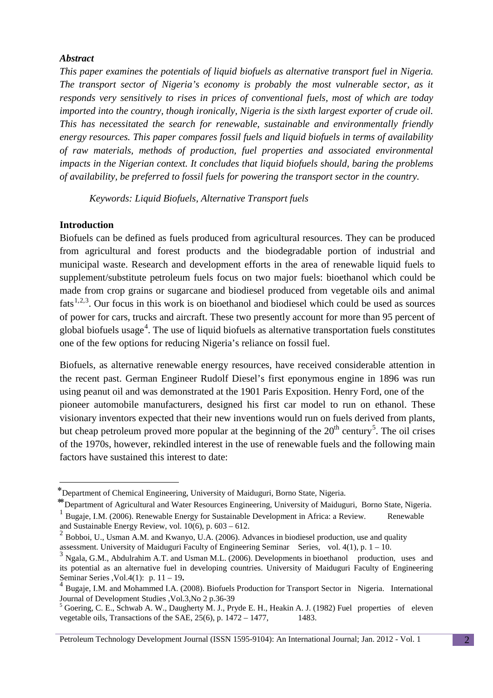#### *Abstract*

*This paper examines the potentials of liquid biofuels as alternative transport fuel in Nigeria. The transport sector of Nigeria's economy is probably the most vulnerable sector, as it responds very sensitively to rises in prices of conventional fuels, most of which are today imported into the country, though ironically, Nigeria is the sixth largest exporter of crude oil. This has necessitated the search for renewable, sustainable and environmentally friendly energy resources. This paper compares fossil fuels and liquid biofuels in terms of availability of raw materials, methods of production, fuel properties and associated environmental impacts in the Nigerian context. It concludes that liquid biofuels should, baring the problems of availability, be preferred to fossil fuels for powering the transport sector in the country.* 

*Keywords: Liquid Biofuels, Alternative Transport fuels*

#### **Introduction**

<u>.</u>

Biofuels can be defined as fuels produced from agricultural resources. They can be produced from agricultural and forest products and the biodegradable portion of industrial and municipal waste. Research and development efforts in the area of renewable liquid fuels to supplement/substitute petroleum fuels focus on two major fuels: bioethanol which could be made from crop grains or sugarcane and biodiesel produced from vegetable oils and animal  $\text{fats}^{1,2,3}$  $\text{fats}^{1,2,3}$  $\text{fats}^{1,2,3}$  $\text{fats}^{1,2,3}$  $\text{fats}^{1,2,3}$  $\text{fats}^{1,2,3}$ . Our focus in this work is on bioethanol and biodiesel which could be used as sources of power for cars, trucks and aircraft. These two presently account for more than 95 percent of global biofuels usage<sup>[4](#page-1-3)</sup>. The use of liquid biofuels as alternative transportation fuels constitutes one of the few options for reducing Nigeria's reliance on fossil fuel.

Biofuels, as alternative renewable energy resources, have received considerable attention in the recent past. German Engineer Rudolf Diesel's first eponymous engine in 1896 was run using peanut oil and was demonstrated at the 1901 Paris Exposition. Henry Ford, one of the pioneer automobile manufacturers, designed his first car model to run on ethanol. These visionary inventors expected that their new inventions would run on fuels derived from plants, but cheap petroleum proved more popular at the beginning of the  $20<sup>th</sup>$  century<sup>[5](#page-1-4)</sup>. The oil crises of the 1970s, however, rekindled interest in the use of renewable fuels and the following main factors have sustained this interest to date:

<span id="page-1-0"></span><sup>⃰</sup> Department of Chemical Engineering, University of Maiduguri, Borno State, Nigeria.

<sup>⃰ ⃰</sup> Department of Agricultural and Water Resources Engineering, University of Maiduguri, Borno State, Nigeria.

<sup>&</sup>lt;sup>1</sup> Bugaje, I.M. (2006). Renewable Energy for Sustainable Development in Africa: a Review. Renewable and Sustainable Energy Review, vol. 10(6), p. 603 – 612.

<span id="page-1-1"></span> $2^{2}$  Bobboi, U., Usman A.M. and Kwanyo, U.A. (2006). Advances in biodiesel production, use and quality assessment. University of Maiduguri Faculty of Engineering Seminar Series, vol. 4(1), p. 1 – 10.

<span id="page-1-2"></span> $3$  Ngala, G.M., Abdulrahim A.T. and Usman M.L. (2006). Developments in bioethanol production, uses and its potential as an alternative fuel in developing countries. University of Maiduguri Faculty of Engineering Seminar Series , Vol.4(1):  $p. 11 - 19$ .

<span id="page-1-3"></span><sup>&</sup>lt;sup>4</sup> Bugaje, I.M. and Mohammed I.A. (2008). Biofuels Production for Transport Sector in Nigeria. International Journal of Development Studies ,Vol.3,No 2 p.36-39<br><sup>5</sup> Goering, C. E., Schwab A. W., Daugherty M. J., Pryde E. H., Heakin A. J. (1982) Fuel properties of eleven

<span id="page-1-4"></span>vegetable oils, Transactions of the SAE,  $25(6)$ , p.  $1472 - 1477$ , 1483.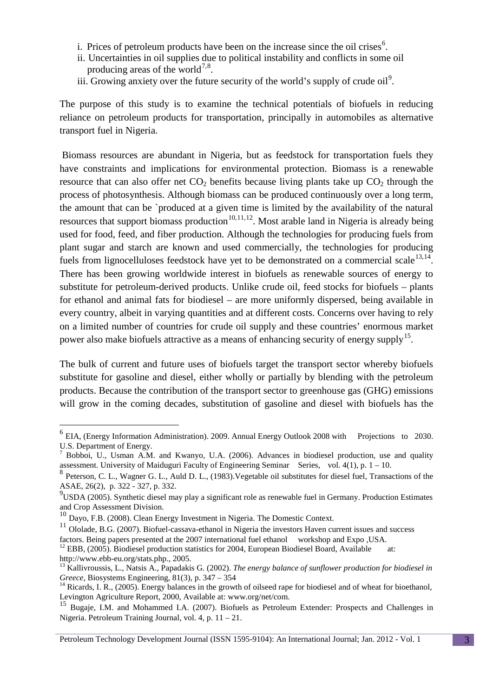- i. Prices of petroleum products have been on the increase since the oil crises<sup>[6](#page-2-0)</sup>.
- ii. Uncertainties in oil supplies due to political instability and conflicts in some oil producing areas of the world<sup>[7,](#page-2-1)[8](#page-2-2)</sup>. producing areas of the world<sup> $\prime$ ,8</sup>.<br>iii. Growing anxiety over the future security of the world's supply of crude oil<sup>[9](#page-2-3)</sup>.
- 

The purpose of this study is to examine the technical potentials of biofuels in reducing reliance on petroleum products for transportation, principally in automobiles as alternative transport fuel in Nigeria.

Biomass resources are abundant in Nigeria, but as feedstock for transportation fuels they have constraints and implications for environmental protection. Biomass is a renewable resource that can also offer net  $CO<sub>2</sub>$  benefits because living plants take up  $CO<sub>2</sub>$  through the process of photosynthesis. Although biomass can be produced continuously over a long term, the amount that can be `produced at a given time is limited by the availability of the natural resources that support biomass production<sup>[10](#page-2-4),[11,](#page-2-5)[12](#page-2-6)</sup>. Most arable land in Nigeria is already being used for food, feed, and fiber production. Although the technologies for producing fuels from plant sugar and starch are known and used commercially, the technologies for producing fuels from lignocelluloses feedstock have yet to be demonstrated on a commercial scale  $^{13,14}$  $^{13,14}$  $^{13,14}$  $^{13,14}$ . There has been growing worldwide interest in biofuels as renewable sources of energy to substitute for petroleum-derived products. Unlike crude oil, feed stocks for biofuels – plants for ethanol and animal fats for biodiesel – are more uniformly dispersed, being available in every country, albeit in varying quantities and at different costs. Concerns over having to rely on a limited number of countries for crude oil supply and these countries' enormous market power also make biofuels attractive as a means of enhancing security of energy supply<sup>[15](#page-2-9)</sup>.

The bulk of current and future uses of biofuels target the transport sector whereby biofuels substitute for gasoline and diesel, either wholly or partially by blending with the petroleum products. Because the contribution of the transport sector to greenhouse gas (GHG) emissions will grow in the coming decades, substitution of gasoline and diesel with biofuels has the

<span id="page-2-0"></span> <sup>6</sup> EIA, (Energy Information Administration). 2009. Annual Energy Outlook 2008 with Projections to 2030. U.S. Department of Energy.

<span id="page-2-1"></span><sup>7</sup> Bobboi, U., Usman A.M. and Kwanyo, U.A. (2006). Advances in biodiesel production, use and quality assessment. University of Maiduguri Faculty of Engineering Seminar Series, vol. 4(1), p. 1 – 10.

<span id="page-2-2"></span><sup>&</sup>lt;sup>8</sup> Peterson, C. L., Wagner G. L., Auld D. L., (1983). Vegetable oil substitutes for diesel fuel, Transactions of the ASAE, 26(2), p. 322 - 327, p. 332.

<span id="page-2-3"></span><sup>&</sup>lt;sup>9</sup>USDA (2005). Synthetic diesel may play a significant role as renewable fuel in Germany. Production Estimates and Crop Assessment Division.<br><sup>10</sup> Dayo, F.B. (2008). Clean Energy Investment in Nigeria. The Domestic Context.

<span id="page-2-4"></span>

<span id="page-2-5"></span><sup>&</sup>lt;sup>11</sup> Ololade, B.G. (2007). Biofuel-cassava-ethanol in Nigeria the investors Haven current issues and success factors. Being papers presented at the 2007 international fuel ethanol workshop and Expo , USA.

<span id="page-2-6"></span><sup>&</sup>lt;sup>12</sup> EBB, (2005). Biodiesel production statistics for 2004, European Biodiesel Board, Available at:

<span id="page-2-7"></span>http://www.ebb-eu.org/stats.php., 2005.<br><sup>13</sup> Kallivroussis, L., Natsis A., Papadakis G. (2002). *The energy balance of sunflower production for biodiesel in*<br>*Greece*, Biosystems Engineering, 81(3), p. 347 – 354

<span id="page-2-8"></span><sup>&</sup>lt;sup>14</sup> Ricards, I. R., (2005). Energy balances in the growth of oilseed rape for biodiesel and of wheat for bioethanol, Levington Agriculture Report, 2000, Available at: www.org/net/com.

<span id="page-2-9"></span><sup>&</sup>lt;sup>15</sup> Bugaje, I.M. and Mohammed I.A. (2007). Biofuels as Petroleum Extender: Prospects and Challenges in Nigeria. Petroleum Training Journal, vol. 4, p. 11 – 21.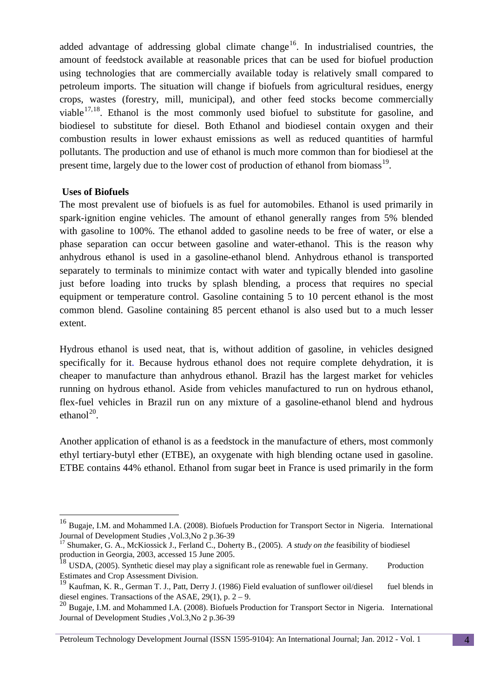added advantage of addressing global climate change<sup>16</sup>. In industrialised countries, the amount of feedstock available at reasonable prices that can be used for biofuel production using technologies that are commercially available today is relatively small compared to petroleum imports. The situation will change if biofuels from agricultural residues, energy crops, wastes (forestry, mill, municipal), and other feed stocks become commercially viable $17,18$  $17,18$ . Ethanol is the most commonly used biofuel to substitute for gasoline, and biodiesel to substitute for diesel. Both Ethanol and biodiesel contain oxygen and their combustion results in lower exhaust emissions as well as reduced quantities of harmful pollutants. The production and use of ethanol is much more common than for biodiesel at the present time, largely due to the lower cost of production of ethanol from biomass<sup>19</sup>.

## **Uses of Biofuels**

The most prevalent use of biofuels is as fuel for automobiles. Ethanol is used primarily in spark-ignition engine vehicles. The amount of ethanol generally ranges from 5% blended with gasoline to 100%. The ethanol added to gasoline needs to be free of water, or else a phase separation can occur between gasoline and water-ethanol. This is the reason why anhydrous ethanol is used in a gasoline-ethanol blend. Anhydrous ethanol is transported separately to terminals to minimize contact with water and typically blended into gasoline just before loading into trucks by splash blending, a process that requires no special equipment or temperature control. Gasoline containing 5 to 10 percent ethanol is the most common blend. Gasoline containing 85 percent ethanol is also used but to a much lesser extent.

Hydrous ethanol is used neat, that is, without addition of gasoline, in vehicles designed specifically for it. Because hydrous ethanol does not require complete dehydration, it is cheaper to manufacture than anhydrous ethanol. Brazil has the largest market for vehicles running on hydrous ethanol. Aside from vehicles manufactured to run on hydrous ethanol, flex-fuel vehicles in Brazil run on any mixture of a gasoline-ethanol blend and hydrous ethanol $^{20}$  $^{20}$  $^{20}$ .

Another application of ethanol is as a feedstock in the manufacture of ethers, most commonly ethyl tertiary-butyl ether (ETBE), an oxygenate with high blending octane used in gasoline. ETBE contains 44% ethanol. Ethanol from sugar beet in France is used primarily in the form

<span id="page-3-0"></span><sup>&</sup>lt;sup>16</sup> Bugaje, I.M. and Mohammed I.A. (2008). Biofuels Production for Transport Sector in Nigeria. International Journal of Development Studies ,Vol.3,No 2 p.36-39 <sup>17</sup> Shumaker, G. A., McKiossick J., Ferland C., Doherty B., (2005). *A study on the* feasibility of biodiesel

<span id="page-3-1"></span>production in Georgia, 2003, accessed 15 June 2005.

<span id="page-3-2"></span> $^{18}$  USDA, (2005). Synthetic diesel may play a significant role as renewable fuel in Germany. Production Estimates and Crop Assessment Division.<br><sup>19</sup> Kaufman, K. R., German T. J., Patt, Derry J. (1986) Field evaluation of sunflower oil/diesel fuel blends in

<span id="page-3-3"></span>diesel engines. Transactions of the ASAE,  $29(1)$ , p.  $2 - 9$ .

<span id="page-3-4"></span><sup>&</sup>lt;sup>20</sup> Bugaje, I.M. and Mohammed I.A. (2008). Biofuels Production for Transport Sector in Nigeria. International Journal of Development Studies ,Vol.3,No 2 p.36-39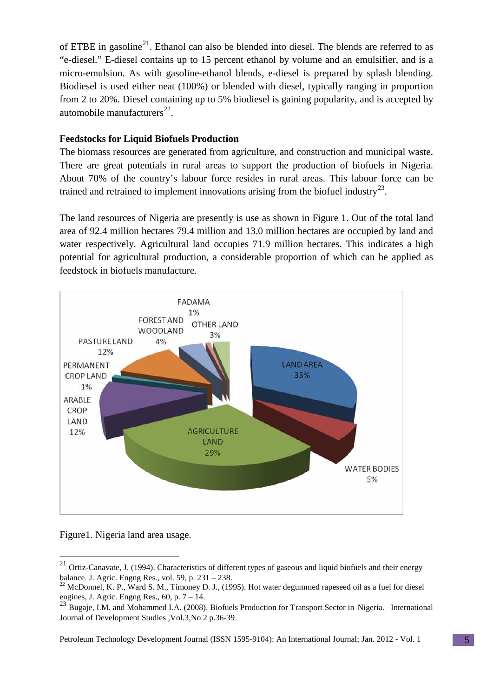of ETBE in gasoline<sup>21</sup>. Ethanol can also be blended into diesel. The blends are referred to as "e-diesel." E-diesel contains up to 15 percent ethanol by volume and an emulsifier, and is a micro-emulsion. As with gasoline-ethanol blends, e-diesel is prepared by splash blending. Biodiesel is used either neat (100%) or blended with diesel, typically ranging in proportion from 2 to 20%. Diesel containing up to 5% biodiesel is gaining popularity, and is accepted by automobile manufacturers $^{22}$  $^{22}$  $^{22}$ .

# **Feedstocks for Liquid Biofuels Production**

The biomass resources are generated from agriculture, and construction and municipal waste. There are great potentials in rural areas to support the production of biofuels in Nigeria. About 70% of the country's labour force resides in rural areas. This labour force can be trained and retrained to implement innovations arising from the biofuel industry<sup>23</sup>.

The land resources of Nigeria are presently is use as shown in Figure 1. Out of the total land area of 92.4 million hectares 79.4 million and 13.0 million hectares are occupied by land and water respectively. Agricultural land occupies 71.9 million hectares. This indicates a high potential for agricultural production, a considerable proportion of which can be applied as feedstock in biofuels manufacture.



Figure1. Nigeria land area usage.

<span id="page-4-0"></span> <sup>21</sup> Ortiz-Canavate, J. (1994). Characteristics of different types of gaseous and liquid biofuels and their energy balance. J. Agric. Engng Res., vol. 59, p. 231 – 238.<br><sup>22</sup> McDonnel, K. P., Ward S. M., Timoney D. J., (1995). Hot water degummed rapeseed oil as a fuel for diesel

<span id="page-4-1"></span>engines, J. Agric. Engng Res.,  $60$ , p.  $7 - 14$ .

<span id="page-4-2"></span><sup>&</sup>lt;sup>23</sup> Bugaje, I.M. and Mohammed I.A. (2008). Biofuels Production for Transport Sector in Nigeria. International Journal of Development Studies ,Vol.3,No 2 p.36-39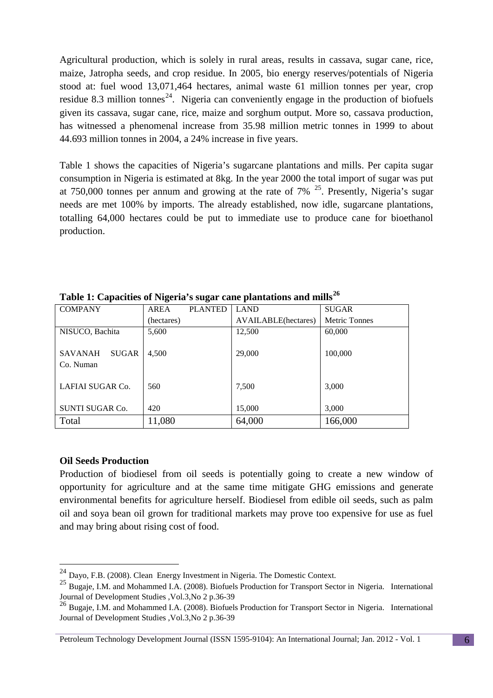Agricultural production, which is solely in rural areas, results in cassava, sugar cane, rice, maize, Jatropha seeds, and crop residue. In 2005, bio energy reserves/potentials of Nigeria stood at: fuel wood 13,071,464 hectares, animal waste 61 million tonnes per year, crop residue 8.3 million tonnes<sup>[24](#page-5-0)</sup>. Nigeria can conveniently engage in the production of biofuels given its cassava, sugar cane, rice, maize and sorghum output. More so, cassava production, has witnessed a phenomenal increase from 35.98 million metric tonnes in 1999 to about 44.693 million tonnes in 2004, a 24% increase in five years.

Table 1 shows the capacities of Nigeria's sugarcane plantations and mills. Per capita sugar consumption in Nigeria is estimated at 8kg. In the year 2000 the total import of sugar was put at 750,000 tonnes per annum and growing at the rate of 7%  $^{25}$  $^{25}$  $^{25}$ . Presently, Nigeria's sugar needs are met 100% by imports. The already established, now idle, sugarcane plantations, totalling 64,000 hectares could be put to immediate use to produce cane for bioethanol production.

| <b>COMPANY</b>                              | <b>AREA</b> | <b>PLANTED</b> | <b>LAND</b>         | <b>SUGAR</b>         |
|---------------------------------------------|-------------|----------------|---------------------|----------------------|
|                                             | (hectares)  |                | AVAILABLE(hectares) | <b>Metric Tonnes</b> |
| NISUCO, Bachita                             | 5,600       |                | 12,500              | 60,000               |
| <b>SUGAR</b><br><b>SAVANAH</b><br>Co. Numan | 4.500       |                | 29,000              | 100,000              |
| LAFIAI SUGAR Co.                            | 560         |                | 7,500               | 3,000                |
| <b>SUNTI SUGAR Co.</b>                      | 420         |                | 15,000              | 3,000                |
| Total                                       | 11,080      |                | 64,000              | 166,000              |

**Table 1: Capacities of Nigeria's sugar cane plantations and mills[26](#page-5-2)**

#### **Oil Seeds Production**

Production of biodiesel from oil seeds is potentially going to create a new window of opportunity for agriculture and at the same time mitigate GHG emissions and generate environmental benefits for agriculture herself. Biodiesel from edible oil seeds, such as palm oil and soya bean oil grown for traditional markets may prove too expensive for use as fuel and may bring about rising cost of food.

<span id="page-5-0"></span> <sup>24</sup> Dayo, F.B. (2008). Clean Energy Investment in Nigeria. The Domestic Context.

<span id="page-5-1"></span><sup>&</sup>lt;sup>25</sup> Bugaie, I.M. and Mohammed I.A. (2008). Biofuels Production for Transport Sector in Nigeria. International Journal of Development Studies ,Vol.3,No 2 p.36-39

<span id="page-5-2"></span><sup>26</sup> Bugaje, I.M. and Mohammed I.A. (2008). Biofuels Production for Transport Sector in Nigeria. International Journal of Development Studies ,Vol.3,No 2 p.36-39

Petroleum Technology Development Journal (ISSN 1595-9104): An International Journal; Jan. 2012 - Vol. 1 6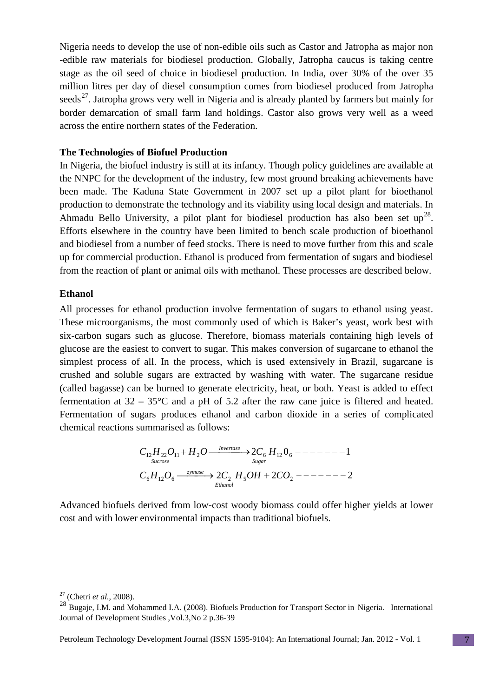Nigeria needs to develop the use of non-edible oils such as Castor and Jatropha as major non -edible raw materials for biodiesel production. Globally, Jatropha caucus is taking centre stage as the oil seed of choice in biodiesel production. In India, over 30% of the over 35 million litres per day of diesel consumption comes from biodiesel produced from Jatropha seeds<sup>27</sup>. Jatropha grows very well in Nigeria and is already planted by farmers but mainly for border demarcation of small farm land holdings. Castor also grows very well as a weed across the entire northern states of the Federation.

## **The Technologies of Biofuel Production**

In Nigeria, the biofuel industry is still at its infancy. Though policy guidelines are available at the NNPC for the development of the industry, few most ground breaking achievements have been made. The Kaduna State Government in 2007 set up a pilot plant for bioethanol production to demonstrate the technology and its viability using local design and materials. In Ahmadu Bello University, a pilot plant for biodiesel production has also been set  $up^{28}$  $up^{28}$  $up^{28}$ . Efforts elsewhere in the country have been limited to bench scale production of bioethanol and biodiesel from a number of feed stocks. There is need to move further from this and scale up for commercial production. Ethanol is produced from fermentation of sugars and biodiesel from the reaction of plant or animal oils with methanol. These processes are described below.

#### **Ethanol**

All processes for ethanol production involve fermentation of sugars to ethanol using yeast. These microorganisms, the most commonly used of which is Baker's yeast, work best with six-carbon sugars such as glucose. Therefore, biomass materials containing high levels of glucose are the easiest to convert to sugar. This makes conversion of sugarcane to ethanol the simplest process of all. In the process, which is used extensively in Brazil, sugarcane is crushed and soluble sugars are extracted by washing with water. The sugarcane residue (called bagasse) can be burned to generate electricity, heat, or both. Yeast is added to effect fermentation at  $32 - 35^{\circ}\text{C}$  and a pH of 5.2 after the raw cane juice is filtered and heated. Fermentation of sugars produces ethanol and carbon dioxide in a series of complicated chemical reactions summarised as follows:

2 2 2 2 0 1 6 12 6 2 5 2 12 22 11 2 6 12 6 → + − − − − − − − + → − − − − − − − *C H O C H OH CO C H O H O C H Ethanol zymase Sugar Invertase Sucrose*

Advanced biofuels derived from low-cost woody biomass could offer higher yields at lower cost and with lower environmental impacts than traditional biofuels.

<span id="page-6-0"></span> <sup>27</sup> (Chetri *et al.,* 2008).

<span id="page-6-1"></span><sup>&</sup>lt;sup>28</sup> Bugaje, I.M. and Mohammed I.A. (2008). Biofuels Production for Transport Sector in Nigeria. International Journal of Development Studies ,Vol.3,No 2 p.36-39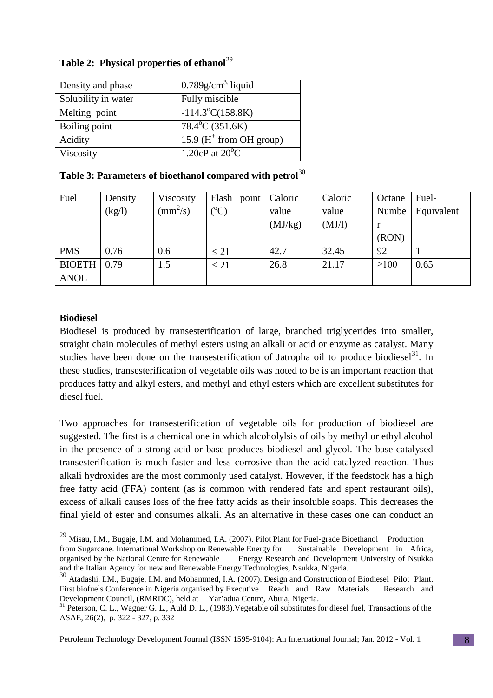| Density and phase   | $0.789$ g/cm <sup>3,</sup> liquid |
|---------------------|-----------------------------------|
| Solubility in water | Fully miscible                    |
| Melting point       | $-114.3^{\circ}C(158.8K)$         |
| Boiling point       | $78.4^{\circ}$ C $(351.6K)$       |
| Acidity             | 15.9 ( $H^+$ from OH group)       |
| Viscosity           | 1.20 $cP$ at 20 $^{\circ}C$       |

## **Table 2: Physical properties of ethanol**<sup>[29](#page-7-0)</sup>

## Table 3: Parameters of bioethanol compared with petrol<sup>[30](#page-7-1)</sup>

| Fuel          | Density | Viscosity                | Flash           | point   Caloric | Caloric | Octane | Fuel-      |
|---------------|---------|--------------------------|-----------------|-----------------|---------|--------|------------|
|               | (kg/l)  | $\text{(mm}^2\text{/s)}$ | $({}^{\circ}C)$ | value           | value   | Numbe  | Equivalent |
|               |         |                          |                 | (MJ/kg)         | (MJ/l)  |        |            |
|               |         |                          |                 |                 |         | (RON)  |            |
| <b>PMS</b>    | 0.76    | 0.6                      | $\leq 21$       | 42.7            | 32.45   | 92     |            |
| <b>BIOETH</b> | 0.79    | 1.5                      | $\leq 21$       | 26.8            | 21.17   | >100   | 0.65       |
| <b>ANOL</b>   |         |                          |                 |                 |         |        |            |

# **Biodiesel**

Biodiesel is produced by transesterification of large, branched triglycerides into smaller, straight chain molecules of methyl esters using an alkali or acid or enzyme as catalyst. Many studies have been done on the transesterification of Jatropha oil to produce biodiesel<sup>31</sup>. In these studies, transesterification of vegetable oils was noted to be is an important reaction that produces fatty and alkyl esters, and methyl and ethyl esters which are excellent substitutes for diesel fuel.

Two approaches for transesterification of vegetable oils for production of biodiesel are suggested. The first is a chemical one in which alcoholylsis of oils by methyl or ethyl alcohol in the presence of a strong acid or base produces biodiesel and glycol. The base-catalysed transesterification is much faster and less corrosive than the acid-catalyzed reaction. Thus alkali hydroxides are the most commonly used catalyst. However, if the feedstock has a high free fatty acid (FFA) content (as is common with rendered fats and spent restaurant oils), excess of alkali causes loss of the free fatty acids as their insoluble soaps. This decreases the final yield of ester and consumes alkali. As an alternative in these cases one can conduct an

<span id="page-7-0"></span> <sup>29</sup> Misau, I.M., Bugaje, I.M. and Mohammed, I.A. (2007). Pilot Plant for Fuel-grade Bioethanol Production from Sugarcane. International Workshop on Renewable Energy for Sustainable Development in Africa, organised by the National Centre for Renewable Energy Research and Development University of Nsukka Energy Research and Development University of Nsukka and the Italian Agency for new and Renewable Energy Technologies, Nsukka, Nigeria.

<span id="page-7-1"></span><sup>30</sup> Atadashi, I.M., Bugaje, I.M. and Mohammed, I.A. (2007). Design and Construction of Biodiesel Pilot Plant. First biofuels Conference in Nigeria organised by Executive Reach and Raw Materials Research and Development Council. (RMRDC), held at Yar'adua Centre, Abuia, Nigeria.

<span id="page-7-2"></span> $31$  Peterson, C. L., Wagner G. L., Auld D. L., (1983). Vegetable oil substitutes for diesel fuel, Transactions of the ASAE, 26(2), p. 322 - 327, p. 332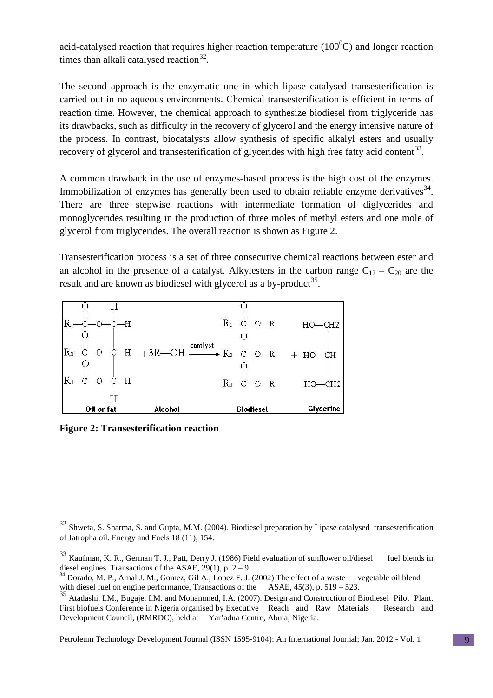acid-catalysed reaction that requires higher reaction temperature  $(100^0C)$  and longer reaction times than alkali catalysed reaction  $32$ .

The second approach is the enzymatic one in which lipase catalysed transesterification is carried out in no aqueous environments. Chemical transesterification is efficient in terms of reaction time. However, the chemical approach to synthesize biodiesel from triglyceride has its drawbacks, such as difficulty in the recovery of glycerol and the energy intensive nature of the process. In contrast, biocatalysts allow synthesis of specific alkalyl esters and usually recovery of glycerol and transesterification of glycerides with high free fatty acid content<sup>[33](#page-8-1)</sup>.

A common drawback in the use of enzymes-based process is the high cost of the enzymes. Immobilization of enzymes has generally been used to obtain reliable enzyme derivatives<sup>[34](#page-8-2)</sup>. There are three stepwise reactions with intermediate formation of diglycerides and monoglycerides resulting in the production of three moles of methyl esters and one mole of glycerol from triglycerides. The overall reaction is shown as Figure 2.

Transesterification process is a set of three consecutive chemical reactions between ester and an alcohol in the presence of a catalyst. Alkylesters in the carbon range  $C_{12} - C_{20}$  are the result and are known as biodiesel with glycerol as a by-product<sup>35</sup>.



**Figure 2: Transesterification reaction**

<span id="page-8-0"></span><sup>&</sup>lt;sup>32</sup> Shweta, S. Sharma, S. and Gupta, M.M. (2004). Biodiesel preparation by Lipase catalysed transesterification of Jatropha oil. Energy and Fuels 18 (11), 154.

<span id="page-8-1"></span><sup>&</sup>lt;sup>33</sup> Kaufman, K. R., German T. J., Patt, Derry J. (1986) Field evaluation of sunflower oil/diesel fuel blends in diesel engines. Transactions of the ASAE. 29(1), p. 2 – 9.

<span id="page-8-2"></span> $^{34}$  Dorado, M. P., Arnal J. M., Gomez, Gil A., Lopez F. J. (2002) The effect of a waste vegetable oil blend with diesel fuel on engine performance, Transactions of the ASAE, 45(3), p. 519 – 523.

<span id="page-8-3"></span><sup>&</sup>lt;sup>35</sup> Atadashi, I.M., Bugaje, I.M. and Mohammed, I.A. (2007). Design and Construction of Biodiesel Pilot Plant. First biofuels Conference in Nigeria organised by Executive Reach and Raw Materials Research and Development Council, (RMRDC), held at Yar'adua Centre, Abuja, Nigeria.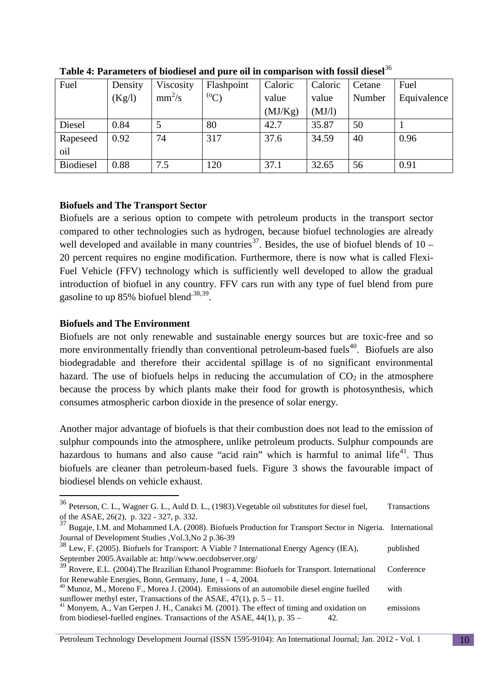| Fuel             | Density | Viscosity | Flashpoint | Caloric | Caloric | Cetane | Fuel        |
|------------------|---------|-----------|------------|---------|---------|--------|-------------|
|                  | (Kg/l)  | $mm^2/s$  | $^{(0}C)$  | value   | value   | Number | Equivalence |
|                  |         |           |            | (MJ/Kg) | (MJ/I)  |        |             |
| Diesel           | 0.84    |           | 80         | 42.7    | 35.87   | 50     |             |
| Rapeseed         | 0.92    | 74        | 317        | 37.6    | 34.59   | 40     | 0.96        |
| oil              |         |           |            |         |         |        |             |
| <b>Biodiesel</b> | 0.88    | 7.5       | 120        | 37.1    | 32.65   | 56     | 0.91        |

**Table 4: Parameters of biodiesel and pure oil in comparison with fossil diesel** [36](#page-9-0)

## **Biofuels and The Transport Sector**

Biofuels are a serious option to compete with petroleum products in the transport sector compared to other technologies such as hydrogen, because biofuel technologies are already well developed and available in many countries<sup>[37](#page-9-1)</sup>. Besides, the use of biofuel blends of  $10 -$ 20 percent requires no engine modification. Furthermore, there is now what is called Flexi-Fuel Vehicle (FFV) technology which is sufficiently well developed to allow the gradual introduction of biofuel in any country. FFV cars run with any type of fuel blend from pure gasoline to up 85% biofuel blend<sup>,[38,](#page-9-2)[39](#page-9-3)</sup>.

## **Biofuels and The Environment**

Biofuels are not only renewable and sustainable energy sources but are toxic-free and so more environmentally friendly than conventional petroleum-based fuels<sup>40</sup>. Biofuels are also biodegradable and therefore their accidental spillage is of no significant environmental hazard. The use of biofuels helps in reducing the accumulation of  $CO<sub>2</sub>$  in the atmosphere because the process by which plants make their food for growth is photosynthesis, which consumes atmospheric carbon dioxide in the presence of solar energy.

Another major advantage of biofuels is that their combustion does not lead to the emission of sulphur compounds into the atmosphere, unlike petroleum products. Sulphur compounds are hazardous to humans and also cause "acid rain" which is harmful to animal life<sup>[41](#page-9-5)</sup>. Thus biofuels are cleaner than petroleum-based fuels. Figure 3 shows the favourable impact of biodiesel blends on vehicle exhaust.

<span id="page-9-0"></span> <sup>36</sup> Peterson, C. L., Wagner G. L., Auld D. L., (1983).Vegetable oil substitutes for diesel fuel, Transactions of the ASAE, 26(2), p. 322 - 327, p. 332.

<span id="page-9-1"></span><sup>&</sup>lt;sup>37</sup> Bugaje, I.M. and Mohammed I.A. (2008). Biofuels Production for Transport Sector in Nigeria. International Journal of Development Studies ,Vol.3,No 2 p.36-39

<span id="page-9-2"></span> $38$  Lew, F. (2005). Biofuels for Transport: A Viable ? International Energy Agency (IEA), published September 2005.Available at: http//www.oecdobserver.org/

<span id="page-9-3"></span><sup>&</sup>lt;sup>39</sup> Rovere, E.L. (2004). The Brazilian Ethanol Programme: Biofuels for Transport. International Conference

<span id="page-9-4"></span>for Renewable Energies, Bonn, Germany, June,  $1 - 4$ , 2004.<br><sup>40</sup> Munoz, M., Moreno F., Morea J. (2004). Emissions of an automobile diesel engine fuelled with sunflower methyl ester, Transactions of the ASAE, 47(1), p. 5 –

<span id="page-9-5"></span><sup>&</sup>lt;sup>41</sup> Monyem, A., Van Gerpen J. H., Canakci M. (2001). The effect of timing and oxidation on emissions from biodiesel-fuelled engines. Transactions of the ASAE,  $44(1)$ , p.  $35 - 42$ .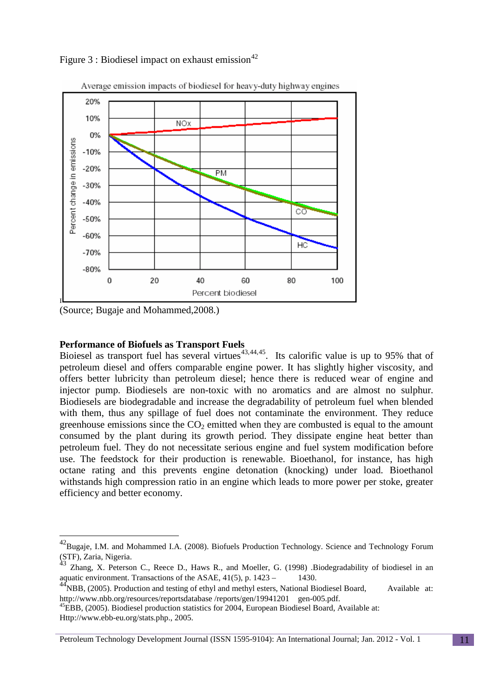Figure 3 : Biodiesel impact on exhaust emission<sup>[42](#page-10-0)</sup>



Average emission impacts of biodiesel for heavy-duty highway engines

(Source; Bugaje and Mohammed,2008.)

## **Performance of Biofuels as Transport Fuels**

Bioiesel as transport fuel has several virtues<sup>[43,](#page-10-1)[44](#page-10-2),[45](#page-10-3)</sup>. Its calorific value is up to 95% that of petroleum diesel and offers comparable engine power. It has slightly higher viscosity, and offers better lubricity than petroleum diesel; hence there is reduced wear of engine and injector pump. Biodiesels are non-toxic with no aromatics and are almost no sulphur. Biodiesels are biodegradable and increase the degradability of petroleum fuel when blended with them, thus any spillage of fuel does not contaminate the environment. They reduce greenhouse emissions since the  $CO<sub>2</sub>$  emitted when they are combusted is equal to the amount consumed by the plant during its growth period. They dissipate engine heat better than petroleum fuel. They do not necessitate serious engine and fuel system modification before use. The feedstock for their production is renewable. Bioethanol, for instance, has high octane rating and this prevents engine detonation (knocking) under load. Bioethanol withstands high compression ratio in an engine which leads to more power per stoke, greater efficiency and better economy.

Petroleum Technology Development Journal (ISSN 1595-9104): An International Journal; Jan. 2012 - Vol. 1 11

<span id="page-10-0"></span><sup>&</sup>lt;sup>42</sup>Bugaje, I.M. and Mohammed I.A. (2008). Biofuels Production Technology. Science and Technology Forum (STF), Zaria, Nigeria.

<span id="page-10-1"></span><sup>43</sup> Zhang, X. Peterson C., Reece D., Haws R., and Moeller, G. (1998) .Biodegradability of biodiesel in an aquatic environment. Transactions of the ASAE,  $41(5)$ , p.  $1423 - 1430$ .

<span id="page-10-2"></span> $^{44}$ NBB, (2005). Production and testing of ethyl and methyl esters, National Biodiesel Board, Available at:

<span id="page-10-3"></span>[http://www.nbb.org/resources/reportsdatabase /reports/gen/19941201 gen-005.pdf.](http://www.nbb.org/resources/reportsdatabase%20/reports/gen/19941201%20%09gen-005.pdf)<br><sup>45</sup>EBB, (2005). Biodiesel production statistics for 2004, European Biodiesel Board, Available at: Http://www.ebb-eu.org/stats.php., 2005.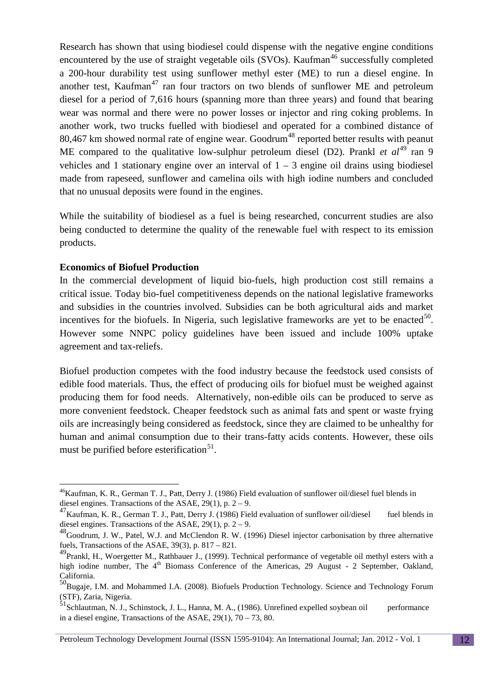Research has shown that using biodiesel could dispense with the negative engine conditions encountered by the use of straight vegetable oils  $(SVOs)$ . Kaufman<sup>[46](#page-11-0)</sup> successfully completed a 200-hour durability test using sunflower methyl ester (ME) to run a diesel engine. In another test, Kaufman<sup>[47](#page-11-1)</sup> ran four tractors on two blends of sunflower ME and petroleum diesel for a period of 7,616 hours (spanning more than three years) and found that bearing wear was normal and there were no power losses or injector and ring coking problems. In another work, two trucks fuelled with biodiesel and operated for a combined distance of 80,467 km showed normal rate of engine wear. Goodrum<sup>[48](#page-11-2)</sup> reported better results with peanut ME compared to the qualitative low-sulphur petroleum diesel (D2). Prankl *et al*<sup>[49](#page-11-3)</sup> ran 9 vehicles and 1 stationary engine over an interval of  $1 - 3$  engine oil drains using biodiesel made from rapeseed, sunflower and camelina oils with high iodine numbers and concluded that no unusual deposits were found in the engines.

While the suitability of biodiesel as a fuel is being researched, concurrent studies are also being conducted to determine the quality of the renewable fuel with respect to its emission products.

#### **Economics of Biofuel Production**

In the commercial development of liquid bio-fuels, high production cost still remains a critical issue. Today bio-fuel competitiveness depends on the national legislative frameworks and subsidies in the countries involved. Subsidies can be both agricultural aids and market incentives for the biofuels. In Nigeria, such legislative frameworks are yet to be enacted<sup>[50](#page-11-4)</sup>. However some NNPC policy guidelines have been issued and include 100% uptake agreement and tax-reliefs.

Biofuel production competes with the food industry because the feedstock used consists of edible food materials. Thus, the effect of producing oils for biofuel must be weighed against producing them for food needs. Alternatively, non-edible oils can be produced to serve as more convenient feedstock. Cheaper feedstock such as animal fats and spent or waste frying oils are increasingly being considered as feedstock, since they are claimed to be unhealthy for human and animal consumption due to their trans-fatty acids contents. However, these oils must be purified before esterification<sup>[51](#page-11-5)</sup>.

<span id="page-11-0"></span><sup>&</sup>lt;sup>46</sup>Kaufman, K. R., German T. J., Patt, Derry J. (1986) Field evaluation of sunflower oil/diesel fuel blends in diesel engines. Transactions of the ASAE,  $29(1)$ , p.  $2 - 9$ .

<span id="page-11-1"></span><sup>&</sup>lt;sup>47</sup>Kaufman, K. R., German T. J., Patt, Derry J. (1986) Field evaluation of sunflower oil/diesel fuel blends in diesel engines. Transactions of the ASAE,  $29(1)$ , p. 2 – 9.

<span id="page-11-2"></span><sup>&</sup>lt;sup>48</sup>Goodrum, J. W., Patel, W.J. and McClendon R. W. (1996) Diesel injector carbonisation by three alternative fuels, Transactions of the ASAE, 39(3), p. 817 – 821.

<span id="page-11-3"></span><sup>&</sup>lt;sup>49</sup>Prankl, H., Woergetter M., Rathbauer J., (1999). Technical performance of vegetable oil methyl esters with a high iodine number, The 4<sup>th</sup> Biomass Conference of the Americas, 29 August - 2 September, Oakland, California.

<span id="page-11-4"></span><sup>50&</sup>lt;br>Bugaie, I.M. and Mohammed I.A. (2008). Biofuels Production Technology. Science and Technology Forum (STF), Zaria, Nigeria.

<span id="page-11-5"></span> $51$ Schlautman, N. J., Schinstock, J. L., Hanna, M. A., (1986). Unrefined expelled soybean oil performance in a diesel engine, Transactions of the ASAE, 29(1), 70 – 73, 80.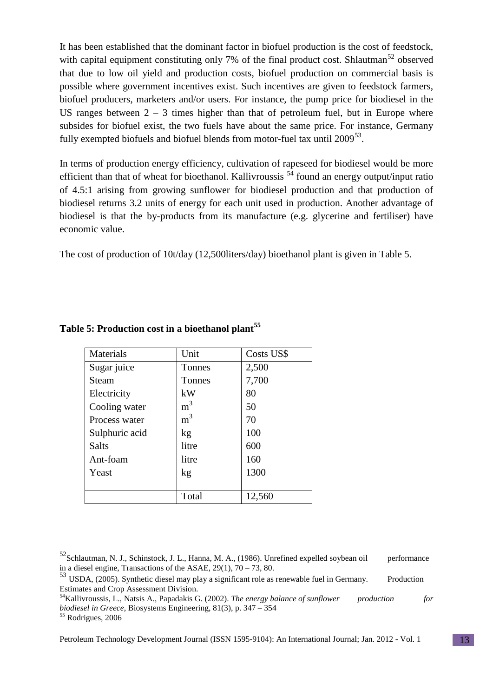It has been established that the dominant factor in biofuel production is the cost of feedstock, with capital equipment constituting only 7% of the final product cost. Shlautman<sup>[52](#page-12-0)</sup> observed that due to low oil yield and production costs, biofuel production on commercial basis is possible where government incentives exist. Such incentives are given to feedstock farmers, biofuel producers, marketers and/or users. For instance, the pump price for biodiesel in the US ranges between  $2 - 3$  times higher than that of petroleum fuel, but in Europe where subsides for biofuel exist, the two fuels have about the same price. For instance, Germany fully exempted biofuels and biofuel blends from motor-fuel tax until 2009<sup>[53](#page-12-1)</sup>.

In terms of production energy efficiency, cultivation of rapeseed for biodiesel would be more efficient than that of wheat for bioethanol. Kallivroussis <sup>[54](#page-12-2)</sup> found an energy output/input ratio of 4.5:1 arising from growing sunflower for biodiesel production and that production of biodiesel returns 3.2 units of energy for each unit used in production. Another advantage of biodiesel is that the by-products from its manufacture (e.g. glycerine and fertiliser) have economic value.

The cost of production of 10t/day (12,500liters/day) bioethanol plant is given in Table 5.

| <b>Materials</b> | Unit           | Costs US\$ |
|------------------|----------------|------------|
| Sugar juice      | <b>Tonnes</b>  | 2,500      |
| Steam            | Tonnes         | 7,700      |
| Electricity      | kW             | 80         |
| Cooling water    | m <sup>3</sup> | 50         |
| Process water    | m <sup>3</sup> | 70         |
| Sulphuric acid   | kg             | 100        |
| Salts            | litre          | 600        |
| Ant-foam         | litre          | 160        |
| Yeast            | kg             | 1300       |
|                  |                |            |
|                  | Total          | 12,560     |

## **Table 5: Production cost in a bioethanol plant[55](#page-12-3)**

<span id="page-12-3"></span>

<span id="page-12-0"></span><sup>&</sup>lt;sup>52</sup>Schlautman, N. J., Schinstock, J. L., Hanna, M. A., (1986). Unrefined expelled soybean oil performance in a diesel engine, Transactions of the ASAE,  $29(1)$ ,  $70 - 73$ , 80.

<span id="page-12-1"></span> $^{53}$  USDA, (2005). Synthetic diesel may play a significant role as renewable fuel in Germany. Production Estimates and Crop Assessment Division.

<span id="page-12-2"></span>Estimates and Crop Assessment Division. 54Kallivroussis, L., Natsis A., Papadakis G. (2002). *The energy balance of sunflower production for biodiesel in Greece*, Biosystems Engineering, 81(3), p. 347 – 354<sup>55</sup> Rodrigues, 2006

Petroleum Technology Development Journal (ISSN 1595-9104): An International Journal; Jan. 2012 - Vol. 1 13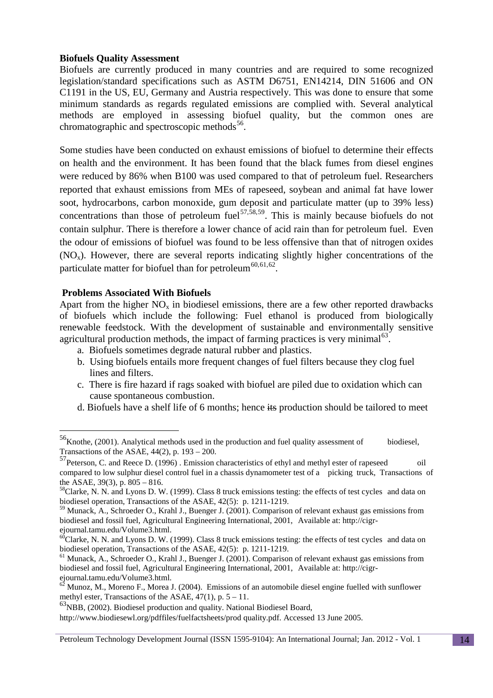## **Biofuels Quality Assessment**

Biofuels are currently produced in many countries and are required to some recognized legislation/standard specifications such as ASTM D6751, EN14214, DIN 51606 and ON C1191 in the US, EU, Germany and Austria respectively. This was done to ensure that some minimum standards as regards regulated emissions are complied with. Several analytical methods are employed in assessing biofuel quality, but the common ones are chromatographic and spectroscopic methods<sup>[56](#page-13-0)</sup>.

Some studies have been conducted on exhaust emissions of biofuel to determine their effects on health and the environment. It has been found that the black fumes from diesel engines were reduced by 86% when B100 was used compared to that of petroleum fuel. Researchers reported that exhaust emissions from MEs of rapeseed, soybean and animal fat have lower soot, hydrocarbons, carbon monoxide, gum deposit and particulate matter (up to 39% less) concentrations than those of petroleum fuel<sup>[57,](#page-13-1)[58](#page-13-2),59</sup>. This is mainly because biofuels do not contain sulphur. There is therefore a lower chance of acid rain than for petroleum fuel. Even the odour of emissions of biofuel was found to be less offensive than that of nitrogen oxides  $(NO<sub>x</sub>)$ . However, there are several reports indicating slightly higher concentrations of the particulate matter for biofuel than for petroleum<sup>[60](#page-13-4),[61,](#page-13-5)[62](#page-13-6)</sup>.

## **Problems Associated With Biofuels**

Apart from the higher  $NO<sub>x</sub>$  in biodiesel emissions, there are a few other reported drawbacks of biofuels which include the following: Fuel ethanol is produced from biologically renewable feedstock. With the development of sustainable and environmentally sensitive agricultural production methods, the impact of farming practices is very minimal<sup>[63](#page-13-7)</sup>.

- a. Biofuels sometimes degrade natural rubber and plastics.
- b. Using biofuels entails more frequent changes of fuel filters because they clog fuel lines and filters.
- c. There is fire hazard if rags soaked with biofuel are piled due to oxidation which can cause spontaneous combustion.
- d. Biofuels have a shelf life of 6 months; hence its production should be tailored to meet

<span id="page-13-0"></span> <sup>56</sup>Knothe, (2001). Analytical methods used in the production and fuel quality assessment of biodiesel, Transactions of the ASAE,  $44(2)$ , p.  $193 - 200$ .

<span id="page-13-1"></span> $^{57}$ Peterson, C. and Reece D. (1996). Emission characteristics of ethyl and methyl ester of rapeseed oil compared to low sulphur diesel control fuel in a chassis dynamometer test of a picking truck, Transactions of the ASAE,  $39(3)$ , p.  $805 - 816$ .

<span id="page-13-2"></span> $58$ Clarke, N. N. and Lyons D. W. (1999). Class 8 truck emissions testing: the effects of test cycles and data on biodiesel operation, Transactions of the ASAE, 42(5): p. 1211-1219.

<span id="page-13-3"></span><sup>59</sup> Munack, A., Schroeder O., Krahl J., Buenger J. (2001). Comparison of relevant exhaust gas emissions from biodiesel and fossil fuel, Agricultural Engineering International, 2001, Available at: [http://cigr-](http://cigr-ejournal.tamu.edu/Volume3.html)

<span id="page-13-4"></span>[ejournal.tamu.edu/Volume3.html.](http://cigr-ejournal.tamu.edu/Volume3.html)<br>
<sup>60</sup>Clarke, N. N. and Lyons D. W. (1999). Class 8 truck emissions testing: the effects of test cycles and data on biodiesel operation, Transactions of the ASAE, 42(5): p. 1211-1219.

<span id="page-13-5"></span> $<sup>61</sup>$  Munack, A., Schroeder O., Krahl J., Buenger J. (2001). Comparison of relevant exhaust gas emissions from</sup> biodiesel and fossil fuel, Agricultural Engineering International, 2001, Available at: http://cigr-<br>ejournal.tamu.edu/Volume3.html.

<span id="page-13-6"></span>Munoz, M., Moreno F., Morea J. (2004). Emissions of an automobile diesel engine fuelled with sunflower methyl ester, Transactions of the ASAE,  $47(1)$ , p.  $5 - 11$ .

<span id="page-13-7"></span><sup>63</sup>NBB, (2002). Biodiesel production and quality. National Biodiesel Board,

http://www.biodiesewl.org/pdffiles/fuelfactsheets/prod quality.pdf. Accessed 13 June 2005.